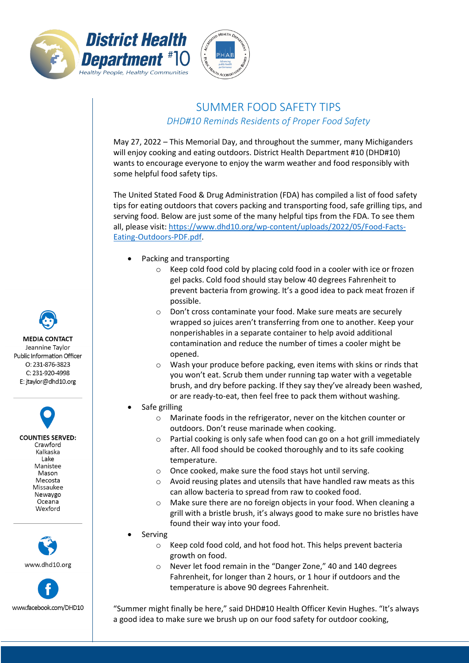



## SUMMER FOOD SAFETY TIPS *DHD#10 Reminds Residents of Proper Food Safety*

May 27, 2022 – This Memorial Day, and throughout the summer, many Michiganders will enjoy cooking and eating outdoors. District Health Department #10 (DHD#10) wants to encourage everyone to enjoy the warm weather and food responsibly with some helpful food safety tips.

The United Stated Food & Drug Administration (FDA) has compiled a list of food safety tips for eating outdoors that covers packing and transporting food, safe grilling tips, and serving food. Below are just some of the many helpful tips from the FDA. To see them all, please visit: [https://www.dhd10.org/wp-content/uploads/2022/05/Food-Facts-](https://www.dhd10.org/wp-content/uploads/2022/05/Food-Facts-Eating-Outdoors-PDF.pdf)[Eating-Outdoors-PDF.pdf.](https://www.dhd10.org/wp-content/uploads/2022/05/Food-Facts-Eating-Outdoors-PDF.pdf)

- Packing and transporting
	- o Keep cold food cold by placing cold food in a cooler with ice or frozen gel packs. Cold food should stay below 40 degrees Fahrenheit to prevent bacteria from growing. It's a good idea to pack meat frozen if possible.
	- o Don't cross contaminate your food. Make sure meats are securely wrapped so juices aren't transferring from one to another. Keep your nonperishables in a separate container to help avoid additional contamination and reduce the number of times a cooler might be opened.
	- o Wash your produce before packing, even items with skins or rinds that you won't eat. Scrub them under running tap water with a vegetable brush, and dry before packing. If they say they've already been washed, or are ready-to-eat, then feel free to pack them without washing.
- Safe grilling
	- o Marinate foods in the refrigerator, never on the kitchen counter or outdoors. Don't reuse marinade when cooking.
	- o Partial cooking is only safe when food can go on a hot grill immediately after. All food should be cooked thoroughly and to its safe cooking temperature.
	- o Once cooked, make sure the food stays hot until serving.
	- $\circ$  Avoid reusing plates and utensils that have handled raw meats as this can allow bacteria to spread from raw to cooked food.
	- o Make sure there are no foreign objects in your food. When cleaning a grill with a bristle brush, it's always good to make sure no bristles have found their way into your food.
- **Serving** 
	- o Keep cold food cold, and hot food hot. This helps prevent bacteria growth on food.
	- o Never let food remain in the "Danger Zone," 40 and 140 degrees Fahrenheit, for longer than 2 hours, or 1 hour if outdoors and the temperature is above 90 degrees Fahrenheit.

"Summer might finally be here," said DHD#10 Health Officer Kevin Hughes. "It's always a good idea to make sure we brush up on our food safety for outdoor cooking,

**MEDIA CONTACT** Jeannine Taylor Public Information Officer  $O: 231 - 876 - 3823$ C: 231-920-4998 E: jtaylor@dhd10.org

**COUNTIES SERVED:** Crawford Kalkaska Lake Manistee Mason Mecosta Missaukee Newaygo Oceana Wexford